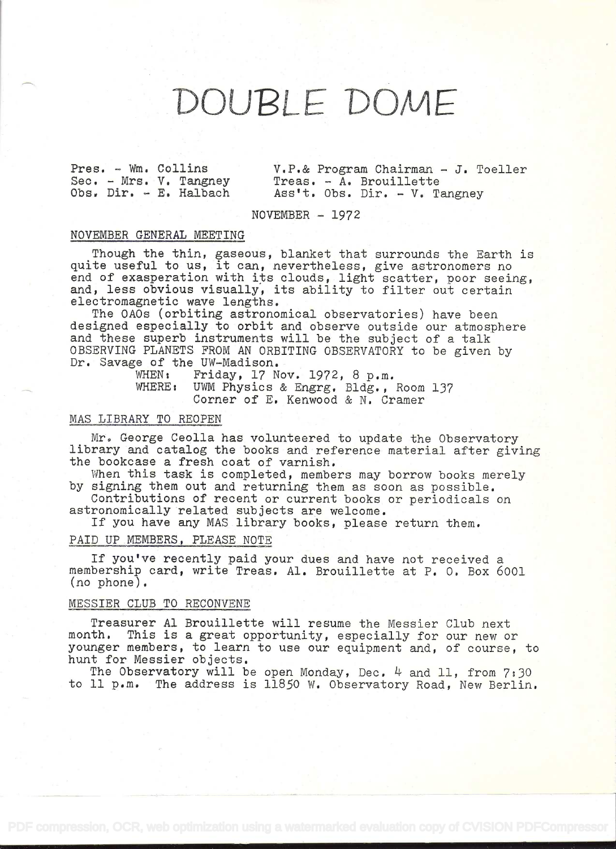# DOUPLE DOME

Sec. - Mrs. V. Tangney Treas. - A. Brouillette<br>Obs. Dir. - E. Halbach Ass't. Obs. Dir. - V. T

Pres. - Wm. Collins V.P.& Program Chairman - J. Toeller<br>Sec. - Mrs. V. Tangney Treas. - A. Brouillette  $Ass't.$  Obs. Dir. - V. Tangney

 $NOVEMBER - 1972$ 

#### NOVEMBER GENERAL MEETING

Though the thin, gaseous, blanket that surrounds the Earth is quite useful to us, it can, nevertheless, give astronomers no end of exasperation with its clouds, light scatter, poor seeing, and, less obvious visually, its ability to filter out certain electromagnetic wave lengths.

The OAOs (orbiting astronomical observatories) have been designed especially to orbit and observe outside our atmosphere and these superb instruments will be the subject of a talk OBSERVING PLANETS FROM AN ORBITING OBSERVATORY to be given by Dr. Savage of the UW-Madison.

WHEN: Friday, 17 Nov. 1972, 8 p.m.<br>WHERE: UWM Physics & Engrg. Bldg.. UWM Physics & Engrg. Bldg., Room 137 Corner of E. Kenwood & N. Cramer

#### MAS LIBRARY TO REOPEN

Mr. George Ceolla has volunteered to update the Observatory library and catalog the books and reference material after giving the bookcase a fresh coat of varnish.

When this task is completed, members may borrow books merely by signing them out and returning them as soon as possible.

Contributions of recent or current books or periodicals on astronomically related subjects are welcome.

If you have any MAS library books, please return them.

## PAID UP MEMBERS, PLEASE NOTE

If you've recently paid your dues and have not received a membership card, write Treas. Al. Brouillette at P. 0. Box 6001 (no phone).

# MESSIER CLUB TO RECONVENE

Treasurer Al Brouillette will resume the Messier Club next month. This is a great opportunity, especially for our new or younger members, to learn to use our equipment and, of course, to hunt for Messier objects.

The Observatory will be open Monday, Dec.  $4$  and 11, from  $7:30$ to 11 p.m. The address is 11850 W. Observatory Road, New Berlin.